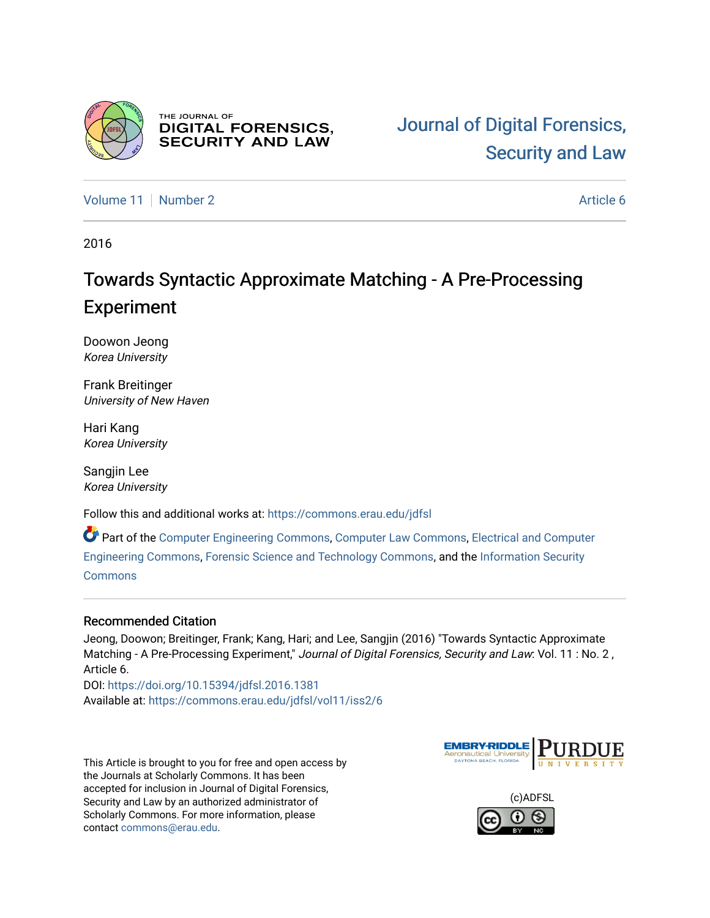

THE JOURNAL OF **DIGITAL FORENSICS, SECURITY AND LAW** 

[Volume 11](https://commons.erau.edu/jdfsl/vol11) | [Number 2](https://commons.erau.edu/jdfsl/vol11/iss2) Article 6

2016

## Towards Syntactic Approximate Matching - A Pre-Processing Experiment

Doowon Jeong Korea University

Frank Breitinger University of New Haven

Hari Kang Korea University

Sangjin Lee Korea University

Follow this and additional works at: [https://commons.erau.edu/jdfsl](https://commons.erau.edu/jdfsl?utm_source=commons.erau.edu%2Fjdfsl%2Fvol11%2Fiss2%2F6&utm_medium=PDF&utm_campaign=PDFCoverPages)

Part of the [Computer Engineering Commons,](http://network.bepress.com/hgg/discipline/258?utm_source=commons.erau.edu%2Fjdfsl%2Fvol11%2Fiss2%2F6&utm_medium=PDF&utm_campaign=PDFCoverPages) [Computer Law Commons,](http://network.bepress.com/hgg/discipline/837?utm_source=commons.erau.edu%2Fjdfsl%2Fvol11%2Fiss2%2F6&utm_medium=PDF&utm_campaign=PDFCoverPages) [Electrical and Computer](http://network.bepress.com/hgg/discipline/266?utm_source=commons.erau.edu%2Fjdfsl%2Fvol11%2Fiss2%2F6&utm_medium=PDF&utm_campaign=PDFCoverPages) [Engineering Commons,](http://network.bepress.com/hgg/discipline/266?utm_source=commons.erau.edu%2Fjdfsl%2Fvol11%2Fiss2%2F6&utm_medium=PDF&utm_campaign=PDFCoverPages) [Forensic Science and Technology Commons](http://network.bepress.com/hgg/discipline/1277?utm_source=commons.erau.edu%2Fjdfsl%2Fvol11%2Fiss2%2F6&utm_medium=PDF&utm_campaign=PDFCoverPages), and the [Information Security](http://network.bepress.com/hgg/discipline/1247?utm_source=commons.erau.edu%2Fjdfsl%2Fvol11%2Fiss2%2F6&utm_medium=PDF&utm_campaign=PDFCoverPages) **[Commons](http://network.bepress.com/hgg/discipline/1247?utm_source=commons.erau.edu%2Fjdfsl%2Fvol11%2Fiss2%2F6&utm_medium=PDF&utm_campaign=PDFCoverPages)** 

#### Recommended Citation

Jeong, Doowon; Breitinger, Frank; Kang, Hari; and Lee, Sangjin (2016) "Towards Syntactic Approximate Matching - A Pre-Processing Experiment," Journal of Digital Forensics, Security and Law: Vol. 11 : No. 2, Article 6.

DOI:<https://doi.org/10.15394/jdfsl.2016.1381> Available at: [https://commons.erau.edu/jdfsl/vol11/iss2/6](https://commons.erau.edu/jdfsl/vol11/iss2/6?utm_source=commons.erau.edu%2Fjdfsl%2Fvol11%2Fiss2%2F6&utm_medium=PDF&utm_campaign=PDFCoverPages)

This Article is brought to you for free and open access by the Journals at Scholarly Commons. It has been accepted for inclusion in Journal of Digital Forensics, Security and Law by an authorized administrator of Scholarly Commons. For more information, please contact [commons@erau.edu.](mailto:commons@erau.edu)



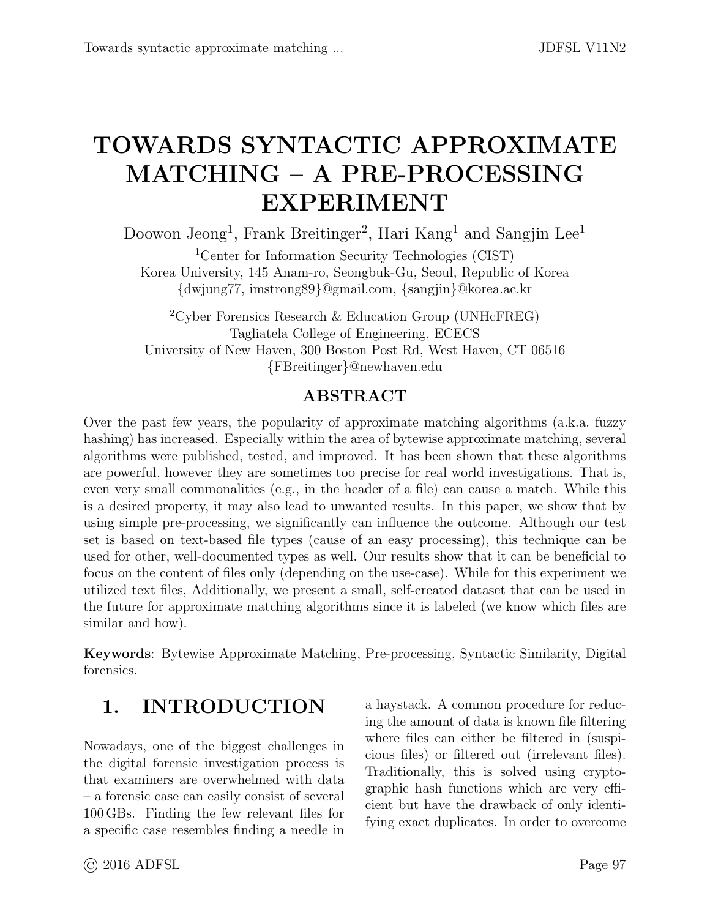# <span id="page-1-0"></span>TOWARDS SYNTACTIC APPROXIMATE MATCHING – A PRE-PROCESSING EXPERIMENT

Doowon Jeong<sup>1</sup>, Frank Breitinger<sup>2</sup>, Hari Kang<sup>1</sup> and Sangjin Lee<sup>1</sup>

<sup>1</sup>Center for Information Security Technologies (CIST) Korea University, 145 Anam-ro, Seongbuk-Gu, Seoul, Republic of Korea {dwjung77, imstrong89}@gmail.com, {sangjin}@korea.ac.kr

<sup>2</sup>Cyber Forensics Research & Education Group (UNHcFREG) Tagliatela College of Engineering, ECECS University of New Haven, 300 Boston Post Rd, West Haven, CT 06516 {FBreitinger}@newhaven.edu

### ABSTRACT

Over the past few years, the popularity of approximate matching algorithms (a.k.a. fuzzy hashing) has increased. Especially within the area of bytewise approximate matching, several algorithms were published, tested, and improved. It has been shown that these algorithms are powerful, however they are sometimes too precise for real world investigations. That is, even very small commonalities (e.g., in the header of a file) can cause a match. While this is a desired property, it may also lead to unwanted results. In this paper, we show that by using simple pre-processing, we significantly can influence the outcome. Although our test set is based on text-based file types (cause of an easy processing), this technique can be used for other, well-documented types as well. Our results show that it can be beneficial to focus on the content of files only (depending on the use-case). While for this experiment we utilized text files, Additionally, we present a small, self-created dataset that can be used in the future for approximate matching algorithms since it is labeled (we know which files are similar and how).

Keywords: Bytewise Approximate Matching, Pre-processing, Syntactic Similarity, Digital forensics.

### 1. INTRODUCTION

Nowadays, one of the biggest challenges in the digital forensic investigation process is that examiners are overwhelmed with data – a forensic case can easily consist of several 100 GBs. Finding the few relevant files for a specific case resembles finding a needle in a haystack. A common procedure for reducing the amount of data is known file filtering where files can either be filtered in (suspicious files) or filtered out (irrelevant files). Traditionally, this is solved using cryptographic hash functions which are very efficient but have the drawback of only identifying exact duplicates. In order to overcome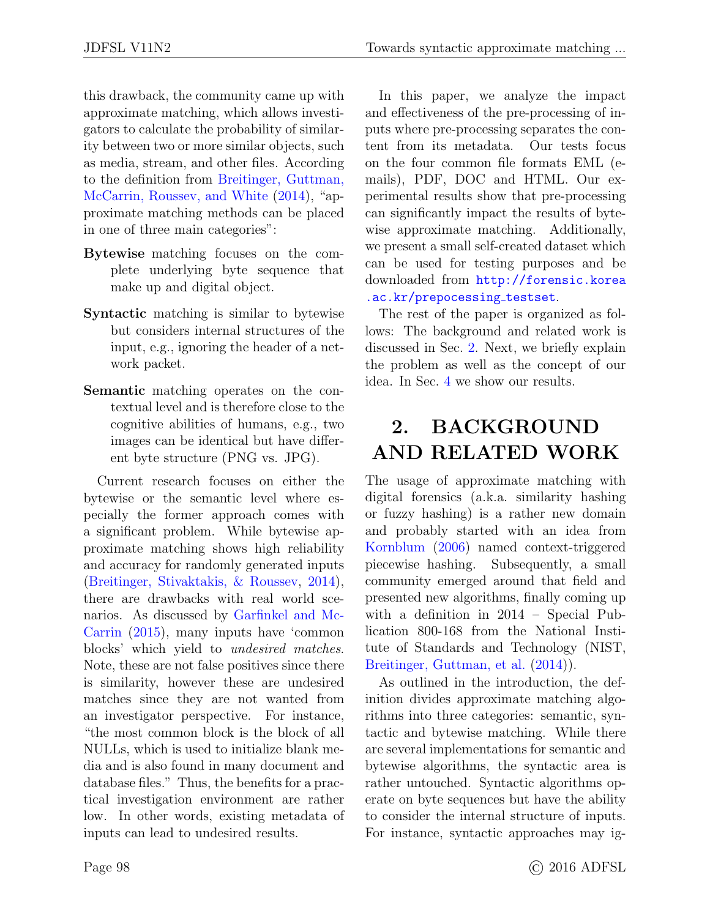this drawback, the community came up with approximate matching, which allows investigators to calculate the probability of similarity between two or more similar objects, such as media, stream, and other files. According to the definition from [Breitinger, Guttman,](#page-11-0) [McCarrin, Roussev, and White](#page-11-0) [\(2014\)](#page-11-0), "approximate matching methods can be placed in one of three main categories":

- Bytewise matching focuses on the complete underlying byte sequence that make up and digital object.
- Syntactic matching is similar to bytewise but considers internal structures of the input, e.g., ignoring the header of a network packet.
- Semantic matching operates on the contextual level and is therefore close to the cognitive abilities of humans, e.g., two images can be identical but have different byte structure (PNG vs. JPG).

Current research focuses on either the bytewise or the semantic level where especially the former approach comes with a significant problem. While bytewise approximate matching shows high reliability and accuracy for randomly generated inputs [\(Breitinger, Stivaktakis, & Roussev,](#page-12-0) [2014\)](#page-12-0), there are drawbacks with real world scenarios. As discussed by [Garfinkel and Mc-](#page-12-1)[Carrin](#page-12-1) [\(2015\)](#page-12-1), many inputs have 'common blocks' which yield to undesired matches. Note, these are not false positives since there is similarity, however these are undesired matches since they are not wanted from an investigator perspective. For instance, "the most common block is the block of all NULLs, which is used to initialize blank media and is also found in many document and database files." Thus, the benefits for a practical investigation environment are rather low. In other words, existing metadata of inputs can lead to undesired results.

In this paper, we analyze the impact and effectiveness of the pre-processing of inputs where pre-processing separates the content from its metadata. Our tests focus on the four common file formats EML (emails), PDF, DOC and HTML. Our experimental results show that pre-processing can significantly impact the results of bytewise approximate matching. Additionally, we present a small self-created dataset which can be used for testing purposes and be downloaded from [http://forensic.korea](http://forensic.korea.ac.kr/prepocessing_testset) [.ac.kr/prepocessing](http://forensic.korea.ac.kr/prepocessing_testset)\_testset.

The rest of the paper is organized as follows: The background and related work is discussed in Sec. [2.](#page-2-0) Next, we briefly explain the problem as well as the concept of our idea. In Sec. [4](#page-5-0) we show our results.

## <span id="page-2-0"></span>2. BACKGROUND AND RELATED WORK

The usage of approximate matching with digital forensics (a.k.a. similarity hashing or fuzzy hashing) is a rather new domain and probably started with an idea from [Kornblum](#page-12-2) [\(2006\)](#page-12-2) named context-triggered piecewise hashing. Subsequently, a small community emerged around that field and presented new algorithms, finally coming up with a definition in 2014 – Special Publication 800-168 from the National Institute of Standards and Technology (NIST, [Breitinger, Guttman, et al.](#page-11-0) [\(2014\)](#page-11-0)).

As outlined in the introduction, the definition divides approximate matching algorithms into three categories: semantic, syntactic and bytewise matching. While there are several implementations for semantic and bytewise algorithms, the syntactic area is rather untouched. Syntactic algorithms operate on byte sequences but have the ability to consider the internal structure of inputs. For instance, syntactic approaches may ig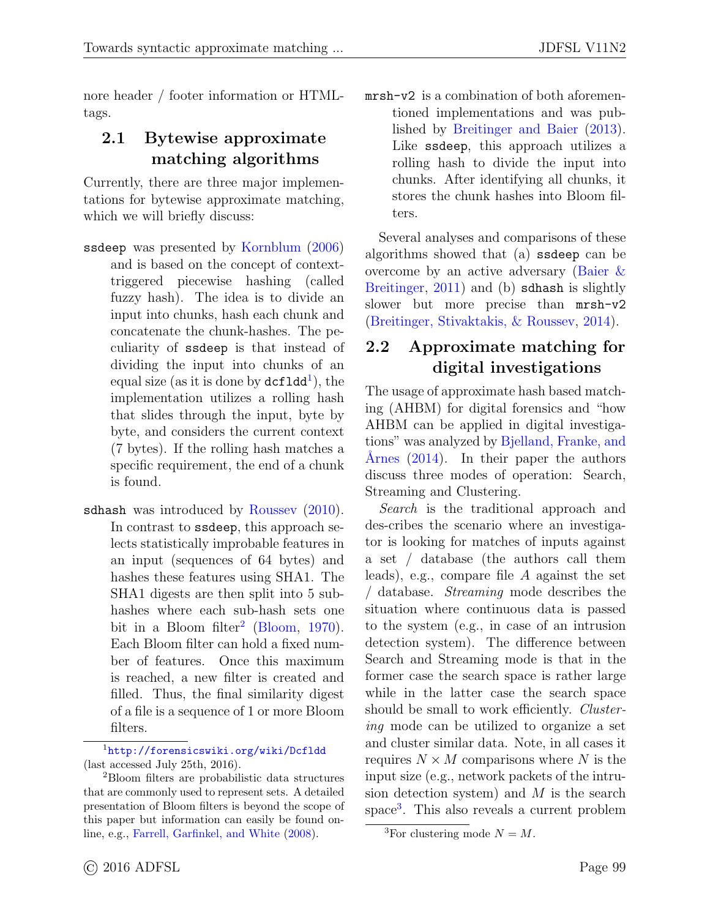nore header / footer information or HTMLtags.

### 2.1 Bytewise approximate matching algorithms

Currently, there are three major implementations for bytewise approximate matching, which we will briefly discuss:

- ssdeep was presented by [Kornblum](#page-12-2) [\(2006\)](#page-12-2) and is based on the concept of contexttriggered piecewise hashing (called fuzzy hash). The idea is to divide an input into chunks, hash each chunk and concatenate the chunk-hashes. The peculiarity of ssdeep is that instead of dividing the input into chunks of an equal size (as it is done by  $\texttt{dcf1dd}^1$  $\texttt{dcf1dd}^1$  $\texttt{dcf1dd}^1$ ), the implementation utilizes a rolling hash that slides through the input, byte by byte, and considers the current context (7 bytes). If the rolling hash matches a specific requirement, the end of a chunk is found.
- sdhash was introduced by Roussey  $(2010)$ . In contrast to ssdeep, this approach selects statistically improbable features in an input (sequences of 64 bytes) and hashes these features using SHA1. The SHA1 digests are then split into 5 subhashes where each sub-hash sets one bit in a Bloom filter<sup>[2](#page-1-0)</sup> [\(Bloom,](#page-11-1) [1970\)](#page-11-1). Each Bloom filter can hold a fixed number of features. Once this maximum is reached, a new filter is created and filled. Thus, the final similarity digest of a file is a sequence of 1 or more Bloom filters.

<sup>1</sup><http://forensicswiki.org/wiki/Dcfldd> (last accessed July 25th, 2016).

mrsh-v2 is a combination of both aforementioned implementations and was published by [Breitinger and Baier](#page-11-2) [\(2013\)](#page-11-2). Like ssdeep, this approach utilizes a rolling hash to divide the input into chunks. After identifying all chunks, it stores the chunk hashes into Bloom filters.

Several analyses and comparisons of these algorithms showed that (a) ssdeep can be overcome by an active adversary [\(Baier &](#page-11-3) [Breitinger,](#page-11-3) [2011\)](#page-11-3) and (b) sdhash is slightly slower but more precise than mrsh-v2 [\(Breitinger, Stivaktakis, & Roussev,](#page-12-0) [2014\)](#page-12-0).

### 2.2 Approximate matching for digital investigations

The usage of approximate hash based matching (AHBM) for digital forensics and "how AHBM can be applied in digital investigations" was analyzed by [Bjelland, Franke, and](#page-11-4) Årnes  $(2014)$ . In their paper the authors discuss three modes of operation: Search, Streaming and Clustering.

Search is the traditional approach and des-cribes the scenario where an investigator is looking for matches of inputs against a set / database (the authors call them leads), e.g., compare file A against the set / database. Streaming mode describes the situation where continuous data is passed to the system (e.g., in case of an intrusion detection system). The difference between Search and Streaming mode is that in the former case the search space is rather large while in the latter case the search space should be small to work efficiently. *Cluster*ing mode can be utilized to organize a set and cluster similar data. Note, in all cases it requires  $N \times M$  comparisons where N is the input size (e.g., network packets of the intrusion detection system) and  $M$  is the search space<sup>[3](#page-1-0)</sup>. This also reveals a current problem

<sup>2</sup>Bloom filters are probabilistic data structures that are commonly used to represent sets. A detailed presentation of Bloom filters is beyond the scope of this paper but information can easily be found online, e.g., [Farrell, Garfinkel, and White](#page-12-4) [\(2008\)](#page-12-4).

<sup>&</sup>lt;sup>3</sup>For clustering mode  $N = M$ .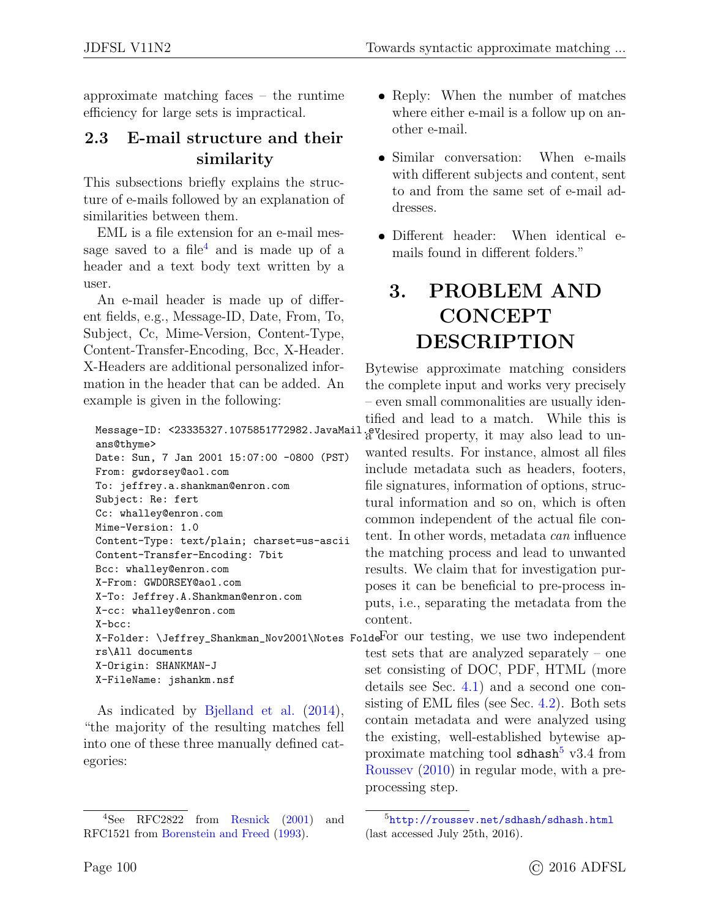approximate matching faces – the runtime efficiency for large sets is impractical.

### <span id="page-4-0"></span>2.3 E-mail structure and their similarity

This subsections briefly explains the structure of e-mails followed by an explanation of similarities between them.

EML is a file extension for an e-mail mes-sage saved to a file<sup>[4](#page-1-0)</sup> and is made up of a header and a text body text written by a user.

An e-mail header is made up of different fields, e.g., Message-ID, Date, From, To, Subject, Cc, Mime-Version, Content-Type, Content-Transfer-Encoding, Bcc, X-Header. X-Headers are additional personalized information in the header that can be added. An example is given in the following:

```
ans@thyme>
Date: Sun, 7 Jan 2001 15:07:00 -0800 (PST)
From: gwdorsey@aol.com
To: jeffrey.a.shankman@enron.com
Subject: Re: fert
Cc: whalley@enron.com
Mime-Version: 1.0
Content-Type: text/plain; charset=us-ascii
Content-Transfer-Encoding: 7bit
Bcc: whalley@enron.com
X-From: GWDORSEY@aol.com
X-To: Jeffrey.A.Shankman@enron.com
X-cc: whalley@enron.com
X-bcc:
rs\All documents
X-Origin: SHANKMAN-J
X-FileName: jshankm.nsf
```
As indicated by [Bjelland et al.](#page-11-4) [\(2014\)](#page-11-4), "the majority of the resulting matches fell into one of these three manually defined categories:

- Reply: When the number of matches where either e-mail is a follow up on another e-mail.
- Similar conversation: When e-mails with different subjects and content, sent to and from the same set of e-mail addresses.
- Different header: When identical emails found in different folders."

# 3. PROBLEM AND **CONCEPT** DESCRIPTION

Message-ID: <23335327.1075851772982.JavaMail.evdesired property, it may also lead to un-Bytewise approximate matching considers the complete input and works very precisely – even small commonalities are usually identified and lead to a match. While this is wanted results. For instance, almost all files include metadata such as headers, footers, file signatures, information of options, structural information and so on, which is often common independent of the actual file content. In other words, metadata can influence the matching process and lead to unwanted results. We claim that for investigation purposes it can be beneficial to pre-process inputs, i.e., separating the metadata from the content.

X-Folder: \Jeffrey\_Shankman\_Nov2001\Notes Folde For our testing, we use two independent test sets that are analyzed separately – one set consisting of DOC, PDF, HTML (more details see Sec. [4.1\)](#page-5-1) and a second one consisting of EML files (see Sec. [4.2\)](#page-8-0). Both sets contain metadata and were analyzed using the existing, well-established bytewise ap-proximate matching tool sdhash<sup>[5](#page-1-0)</sup> v3.4 from [Roussev](#page-12-3) [\(2010\)](#page-12-3) in regular mode, with a preprocessing step.

<sup>4</sup>See RFC2822 from [Resnick](#page-12-5) [\(2001\)](#page-12-5) and RFC1521 from [Borenstein and Freed](#page-11-5) [\(1993\)](#page-11-5).

<sup>5</sup><http://roussev.net/sdhash/sdhash.html> (last accessed July 25th, 2016).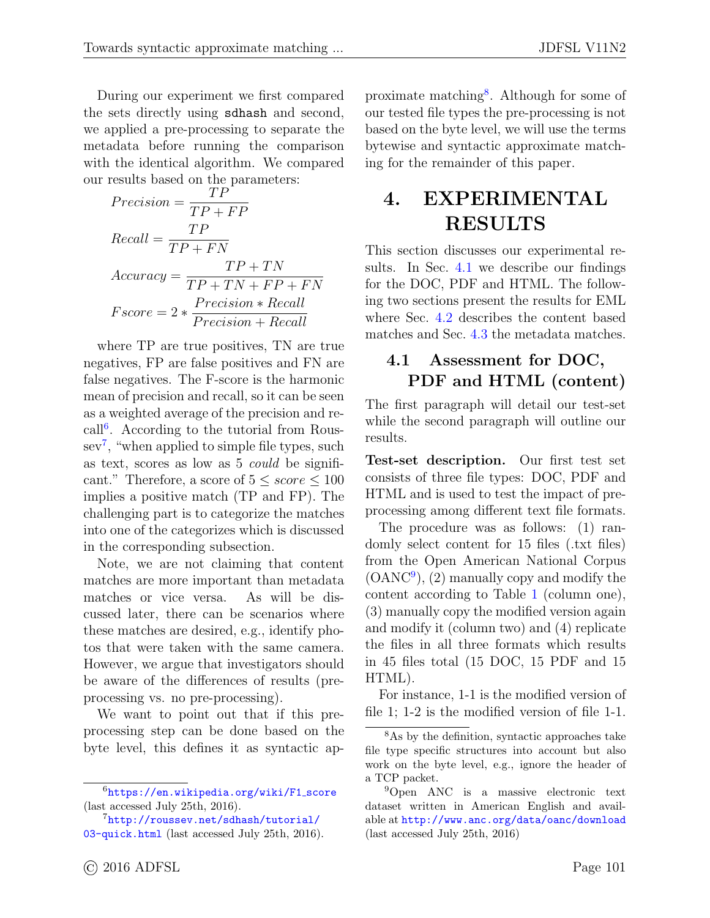During our experiment we first compared the sets directly using sdhash and second, we applied a pre-processing to separate the metadata before running the comparison with the identical algorithm. We compared our results based on the parameters:

$$
Precision = \frac{TP}{TP + FP}
$$
  
Recall = 
$$
\frac{TP}{TP + FN}
$$
  
Accuracy = 
$$
\frac{TP + TN}{TP + TN + FP + FN}
$$
  
Force = 
$$
2 * \frac{Precision * Recall}{Precision + Recall}
$$

where TP are true positives, TN are true negatives, FP are false positives and FN are false negatives. The F-score is the harmonic mean of precision and recall, so it can be seen as a weighted average of the precision and re-call<sup>[6](#page-1-0)</sup>. According to the tutorial from Roussev[7](#page-1-0) , "when applied to simple file types, such as text, scores as low as 5 could be significant." Therefore, a score of  $5 \leq score \leq 100$ implies a positive match (TP and FP). The challenging part is to categorize the matches into one of the categorizes which is discussed in the corresponding subsection.

Note, we are not claiming that content matches are more important than metadata matches or vice versa. As will be discussed later, there can be scenarios where these matches are desired, e.g., identify photos that were taken with the same camera. However, we argue that investigators should be aware of the differences of results (preprocessing vs. no pre-processing).

We want to point out that if this preprocessing step can be done based on the byte level, this defines it as syntactic ap-

proximate matching<sup>[8](#page-1-0)</sup>. Although for some of our tested file types the pre-processing is not based on the byte level, we will use the terms bytewise and syntactic approximate matching for the remainder of this paper.

## <span id="page-5-0"></span>4. EXPERIMENTAL RESULTS

This section discusses our experimental results. In Sec. [4.1](#page-5-1) we describe our findings for the DOC, PDF and HTML. The following two sections present the results for EML where Sec. [4.2](#page-8-0) describes the content based matches and Sec. [4.3](#page-9-0) the metadata matches.

### <span id="page-5-1"></span>4.1 Assessment for DOC, PDF and HTML (content)

The first paragraph will detail our test-set while the second paragraph will outline our results.

Test-set description. Our first test set consists of three file types: DOC, PDF and HTML and is used to test the impact of preprocessing among different text file formats.

The procedure was as follows: (1) randomly select content for 15 files (.txt files) from the Open American National Corpus (OANC[9](#page-1-0) ), (2) manually copy and modify the content according to Table [1](#page-6-0) (column one), (3) manually copy the modified version again and modify it (column two) and (4) replicate the files in all three formats which results in 45 files total (15 DOC, 15 PDF and 15 HTML).

For instance, 1-1 is the modified version of file 1; 1-2 is the modified version of file 1-1.

<sup>&</sup>lt;sup>6</sup>[https://en.wikipedia.org/wiki/F1](https://en.wikipedia.org/wiki/F1_score)\_score (last accessed July 25th, 2016).

<sup>7</sup>[http://roussev.net/sdhash/tutorial/](http://roussev.net/sdhash/tutorial/03-quick.html) [03-quick.html](http://roussev.net/sdhash/tutorial/03-quick.html) (last accessed July 25th, 2016).

<sup>8</sup>As by the definition, syntactic approaches take file type specific structures into account but also work on the byte level, e.g., ignore the header of a TCP packet.

<sup>&</sup>lt;sup>9</sup>Open ANC is a massive electronic text dataset written in American English and available at <http://www.anc.org/data/oanc/download> (last accessed July 25th, 2016)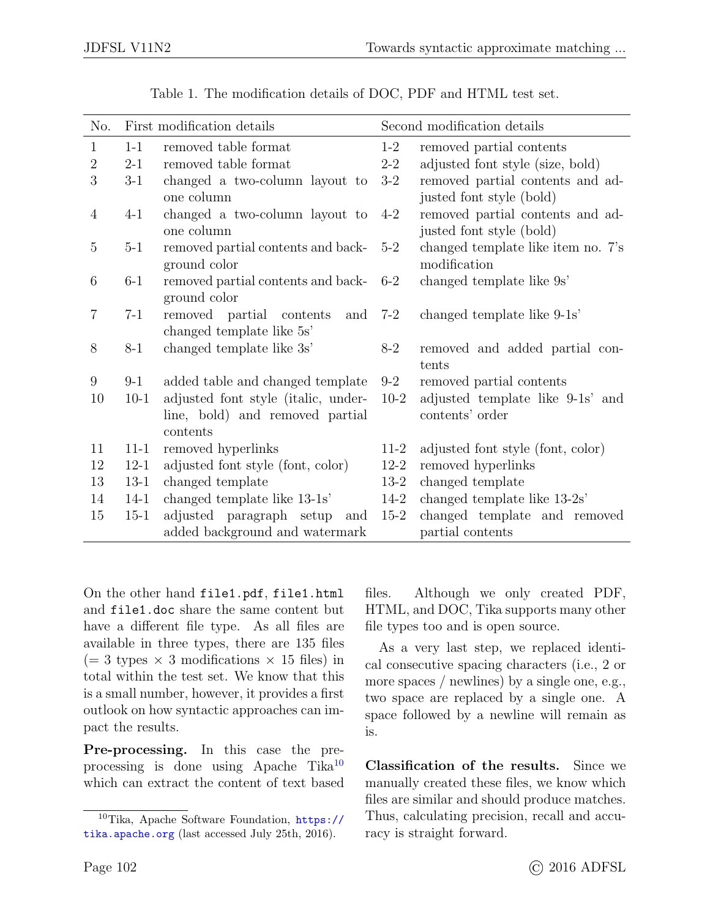<span id="page-6-0"></span>

| No.            |          | First modification details                                             | Second modification details |                                                              |  |
|----------------|----------|------------------------------------------------------------------------|-----------------------------|--------------------------------------------------------------|--|
| $\mathbf 1$    | $1 - 1$  | removed table format                                                   | $1-2$                       | removed partial contents                                     |  |
| $\overline{2}$ | $2 - 1$  | removed table format                                                   | $2 - 2$                     | adjusted font style (size, bold)                             |  |
| 3              | $3-1$    | changed a two-column layout to<br>one column                           | $3-2$                       | removed partial contents and ad-<br>justed font style (bold) |  |
| $\overline{4}$ | $4 - 1$  | changed a two-column layout to<br>one column                           | $4 - 2$                     | removed partial contents and ad-<br>justed font style (bold) |  |
| 5              | $5-1$    | removed partial contents and back-<br>ground color                     | $5-2$                       | changed template like item no. 7's<br>modification           |  |
| 6              | $6-1$    | removed partial contents and back-<br>ground color                     | $6-2$                       | changed template like 9s'                                    |  |
| $\overline{7}$ | $7 - 1$  | removed partial contents<br>and<br>changed template like 5s'           | $7-2$                       | changed template like 9-1s'                                  |  |
| 8              | $8 - 1$  | changed template like 3s'                                              | $8 - 2$                     | removed and added partial con-<br>tents                      |  |
| 9              | $9 - 1$  | added table and changed template                                       | $9 - 2$                     | removed partial contents                                     |  |
| 10             | $10-1$   | adjusted font style (italic, under-<br>line, bold) and removed partial | $10-2$                      | adjusted template like 9-1s' and<br>contents' order          |  |
|                |          | contents                                                               |                             |                                                              |  |
| 11             | $11 - 1$ | removed hyperlinks                                                     | $11-2$                      | adjusted font style (font, color)                            |  |
| 12             | $12 - 1$ | adjusted font style (font, color)                                      | $12-2$                      | removed hyperlinks                                           |  |
| 13             | $13-1$   | changed template                                                       | $13-2$                      | changed template                                             |  |
| 14             | $14 - 1$ | changed template like 13-1s'                                           | $14 - 2$                    | changed template like 13-2s'                                 |  |
| 15             | $15 - 1$ | adjusted paragraph setup<br>and<br>added background and watermark      | $15-2$                      | changed template and removed<br>partial contents             |  |

| Table 1. The modification details of DOC, PDF and HTML test set. |  |  |
|------------------------------------------------------------------|--|--|
|------------------------------------------------------------------|--|--|

On the other hand file1.pdf, file1.html and file1.doc share the same content but have a different file type. As all files are available in three types, there are 135 files  $(= 3 \text{ types} \times 3 \text{ modifications} \times 15 \text{ files})$  in total within the test set. We know that this is a small number, however, it provides a first outlook on how syntactic approaches can impact the results.

Pre-processing. In this case the preprocessing is done using Apache Tika[10](#page-1-0) which can extract the content of text based files. Although we only created PDF, HTML, and DOC, Tika supports many other file types too and is open source.

As a very last step, we replaced identical consecutive spacing characters (i.e., 2 or more spaces / newlines) by a single one, e.g., two space are replaced by a single one. A space followed by a newline will remain as is.

Classification of the results. Since we manually created these files, we know which files are similar and should produce matches. Thus, calculating precision, recall and accuracy is straight forward.

 $10$ Tika, Apache Software Foundation, [https://](https://tika.apache.org) [tika.apache.org](https://tika.apache.org) (last accessed July 25th, 2016).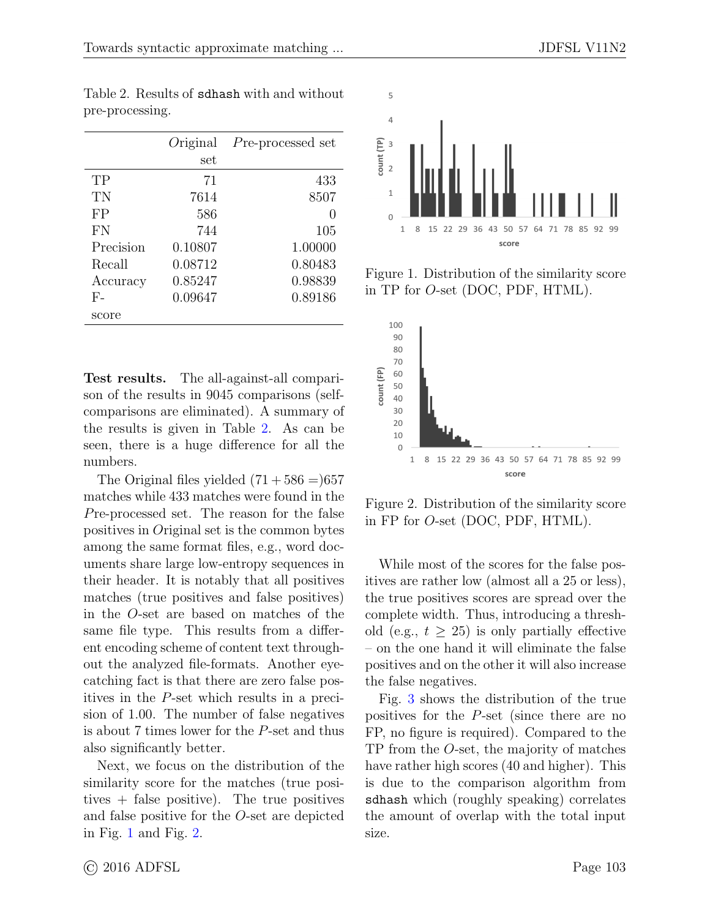|           | Original<br>set | Pre-processed set |
|-----------|-----------------|-------------------|
| TP        | 71              | 433               |
| TN        | 7614            | 8507              |
| FP        | 586             | $\mathbf{0}$      |
| FN        | 744             | 105               |
| Precision | 0.10807         | 1.00000           |
| Recall    | 0.08712         | 0.80483           |
| Accuracy  | 0.85247         | 0.98839           |
| $F-$      | 0.09647         | 0.89186           |
| score     |                 |                   |

<span id="page-7-0"></span>Table 2. Results of sdhash with and without pre-processing.

Test results. The all-against-all comparison of the results in 9045 comparisons (selfcomparisons are eliminated). A summary of the results is given in Table [2.](#page-7-0) As can be seen, there is a huge difference for all the numbers.

The Original files yielded  $(71 + 586 = 657)$ matches while 433 matches were found in the Pre-processed set. The reason for the false positives in Original set is the common bytes among the same format files, e.g., word documents share large low-entropy sequences in their header. It is notably that all positives matches (true positives and false positives) in the O-set are based on matches of the same file type. This results from a different encoding scheme of content text throughout the analyzed file-formats. Another eyecatching fact is that there are zero false positives in the P-set which results in a precision of 1.00. The number of false negatives is about 7 times lower for the P-set and thus also significantly better.

Next, we focus on the distribution of the similarity score for the matches (true positives + false positive). The true positives and false positive for the O-set are depicted in Fig. [1](#page-7-1) and Fig. [2.](#page-7-2)

<span id="page-7-1"></span>

Figure 1. Distribution of the similarity score in TP for O-set (DOC, PDF, HTML).

<span id="page-7-2"></span>

Figure 2. Distribution of the similarity score in FP for O-set (DOC, PDF, HTML).

While most of the scores for the false positives are rather low (almost all a 25 or less), the true positives scores are spread over the complete width. Thus, introducing a threshold (e.g.,  $t > 25$ ) is only partially effective – on the one hand it will eliminate the false positives and on the other it will also increase the false negatives.

Fig. [3](#page-8-1) shows the distribution of the true positives for the P-set (since there are no FP, no figure is required). Compared to the TP from the O-set, the majority of matches have rather high scores (40 and higher). This is due to the comparison algorithm from sdhash which (roughly speaking) correlates the amount of overlap with the total input size.

© 2016 ADFSL Page 103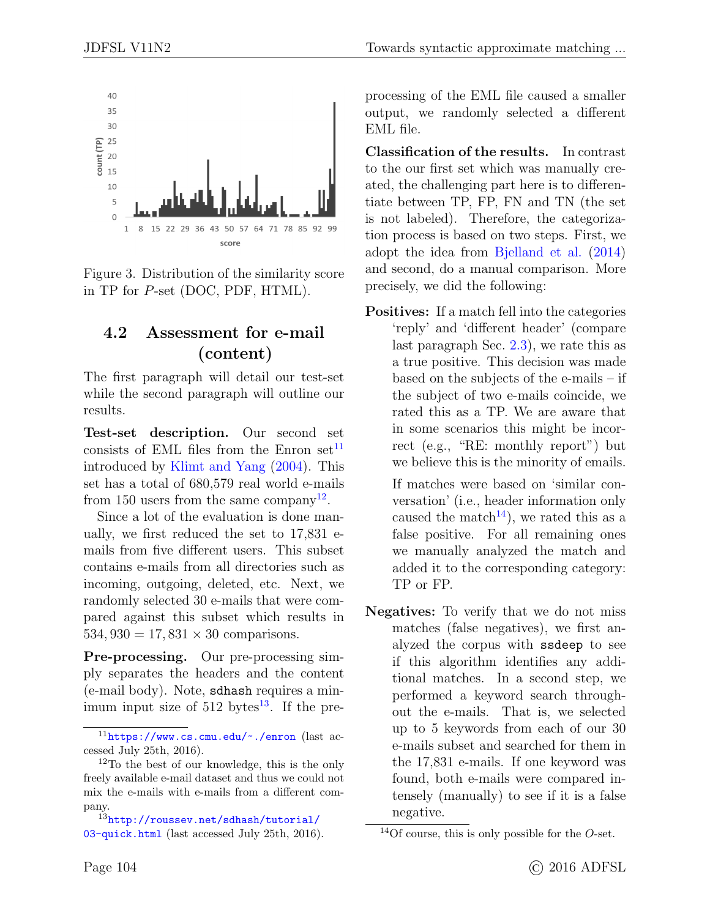<span id="page-8-1"></span>

Figure 3. Distribution of the similarity score in TP for P-set (DOC, PDF, HTML).

#### <span id="page-8-0"></span>4.2 Assessment for e-mail (content)

The first paragraph will detail our test-set while the second paragraph will outline our results.

Test-set description. Our second set consists of EML files from the Enron set<sup>[11](#page-1-0)</sup> introduced by [Klimt and Yang](#page-12-6) [\(2004\)](#page-12-6). This set has a total of 680,579 real world e-mails from 150 users from the same company<sup>[12](#page-1-0)</sup>.

Since a lot of the evaluation is done manually, we first reduced the set to 17,831 emails from five different users. This subset contains e-mails from all directories such as incoming, outgoing, deleted, etc. Next, we randomly selected 30 e-mails that were compared against this subset which results in 534, 930 = 17, 831  $\times$  30 comparisons.

Pre-processing. Our pre-processing simply separates the headers and the content (e-mail body). Note, sdhash requires a minimum input size of  $512 \text{ bytes}^{13}$  $512 \text{ bytes}^{13}$  $512 \text{ bytes}^{13}$ . If the pre-

<sup>13</sup>[http://roussev.net/sdhash/tutorial/](http://roussev.net/sdhash/tutorial/03-quick.html) [03-quick.html](http://roussev.net/sdhash/tutorial/03-quick.html) (last accessed July 25th, 2016). processing of the EML file caused a smaller output, we randomly selected a different EML file.

Classification of the results. In contrast to the our first set which was manually created, the challenging part here is to differentiate between TP, FP, FN and TN (the set is not labeled). Therefore, the categorization process is based on two steps. First, we adopt the idea from [Bjelland et al.](#page-11-4) [\(2014\)](#page-11-4) and second, do a manual comparison. More precisely, we did the following:

Positives: If a match fell into the categories 'reply' and 'different header' (compare last paragraph Sec. [2.3\)](#page-4-0), we rate this as a true positive. This decision was made based on the subjects of the e-mails – if the subject of two e-mails coincide, we rated this as a TP. We are aware that in some scenarios this might be incorrect (e.g., "RE: monthly report") but we believe this is the minority of emails.

If matches were based on 'similar conversation' (i.e., header information only caused the match<sup>[14](#page-1-0)</sup>), we rated this as a false positive. For all remaining ones we manually analyzed the match and added it to the corresponding category: TP or FP.

Negatives: To verify that we do not miss matches (false negatives), we first analyzed the corpus with ssdeep to see if this algorithm identifies any additional matches. In a second step, we performed a keyword search throughout the e-mails. That is, we selected up to 5 keywords from each of our 30 e-mails subset and searched for them in the 17,831 e-mails. If one keyword was found, both e-mails were compared intensely (manually) to see if it is a false negative.

<sup>11</sup><https://www.cs.cmu.edu/~./enron> (last accessed July 25th, 2016).

<sup>12</sup>To the best of our knowledge, this is the only freely available e-mail dataset and thus we could not mix the e-mails with e-mails from a different company.

<sup>&</sup>lt;sup>14</sup>Of course, this is only possible for the  $O$ -set.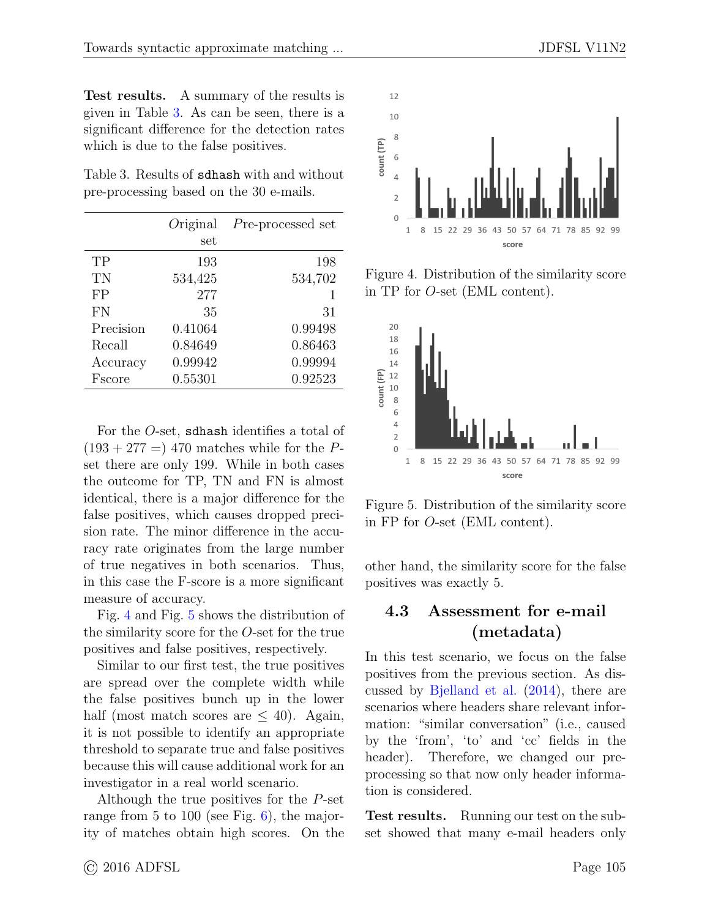Test results. A summary of the results is given in Table [3.](#page-9-1) As can be seen, there is a significant difference for the detection rates which is due to the false positives.

<span id="page-9-1"></span>Table 3. Results of sdhash with and without pre-processing based on the 30 e-mails.

|           | Original<br>set | Pre-processed set |
|-----------|-----------------|-------------------|
| TP        | 193             | 198               |
| TN        | 534,425         | 534,702           |
| FP        | 277             | 1                 |
| FN        | 35              | 31                |
| Precision | 0.41064         | 0.99498           |
| Recall    | 0.84649         | 0.86463           |
| Accuracy  | 0.99942         | 0.99994           |
| Fscore    | 0.55301         | 0.92523           |

For the O-set, sdhash identifies a total of  $(193 + 277) = 470$  matches while for the Pset there are only 199. While in both cases the outcome for TP, TN and FN is almost identical, there is a major difference for the false positives, which causes dropped precision rate. The minor difference in the accuracy rate originates from the large number of true negatives in both scenarios. Thus, in this case the F-score is a more significant measure of accuracy.

Fig. [4](#page-9-2) and Fig. [5](#page-9-3) shows the distribution of the similarity score for the O-set for the true positives and false positives, respectively.

Similar to our first test, the true positives are spread over the complete width while the false positives bunch up in the lower half (most match scores are  $\leq 40$ ). Again, it is not possible to identify an appropriate threshold to separate true and false positives because this will cause additional work for an investigator in a real world scenario.

Although the true positives for the P-set range from 5 to 100 (see Fig. [6\)](#page-10-0), the majority of matches obtain high scores. On the

<span id="page-9-2"></span>

Figure 4. Distribution of the similarity score in TP for O-set (EML content).

<span id="page-9-3"></span>

Figure 5. Distribution of the similarity score in FP for O-set (EML content).

other hand, the similarity score for the false positives was exactly 5.

### <span id="page-9-0"></span>4.3 Assessment for e-mail (metadata)

In this test scenario, we focus on the false positives from the previous section. As discussed by [Bjelland et al.](#page-11-4) [\(2014\)](#page-11-4), there are scenarios where headers share relevant information: "similar conversation" (i.e., caused by the 'from', 'to' and 'cc' fields in the header). Therefore, we changed our preprocessing so that now only header information is considered.

Test results. Running our test on the subset showed that many e-mail headers only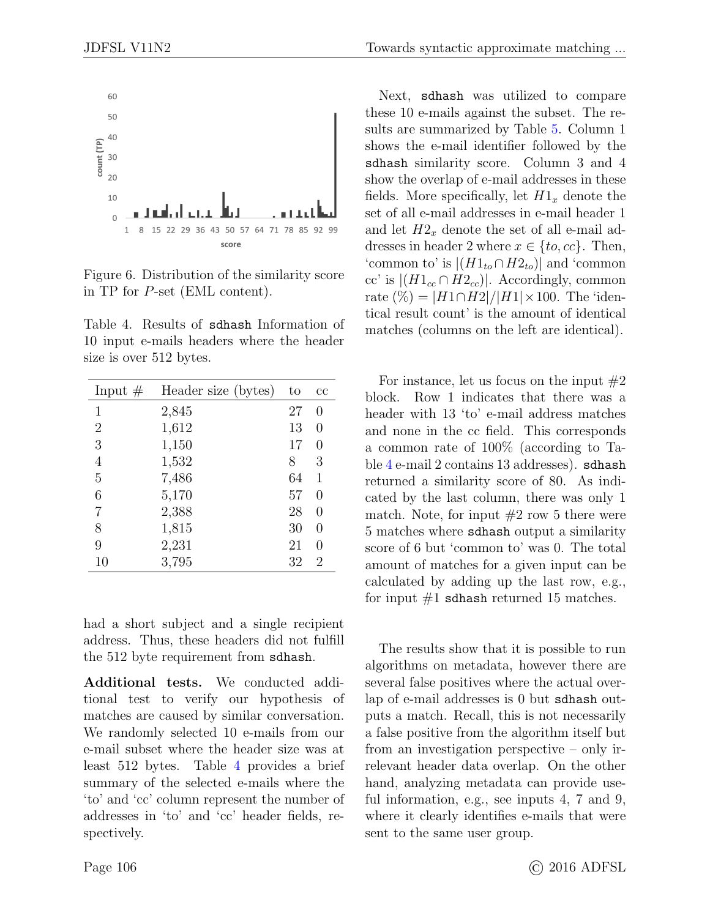<span id="page-10-0"></span>

Figure 6. Distribution of the similarity score in TP for P-set (EML content).

<span id="page-10-1"></span>Table 4. Results of sdhash Information of 10 input e-mails headers where the header size is over 512 bytes.

| Input $#$      | Header size (bytes) | to | $_{\rm cc}$      |
|----------------|---------------------|----|------------------|
| 1              | 2,845               | 27 | $\left( \right)$ |
| 2              | 1,612               | 13 | $\theta$         |
| 3              | 1,150               | 17 | $\left( \right)$ |
| $\overline{4}$ | 1,532               | 8  | 3                |
| 5              | 7,486               | 64 | 1                |
| 6              | 5,170               | 57 | $\left( \right)$ |
| 7              | 2,388               | 28 | $\left( \right)$ |
| 8              | 1,815               | 30 | $\left( \right)$ |
| 9              | 2,231               | 21 | $\mathcal{O}$    |
| 10             | 3,795               | 32 | 2                |

had a short subject and a single recipient address. Thus, these headers did not fulfill the 512 byte requirement from sdhash.

Additional tests. We conducted additional test to verify our hypothesis of matches are caused by similar conversation. We randomly selected 10 e-mails from our e-mail subset where the header size was at least 512 bytes. Table [4](#page-10-1) provides a brief summary of the selected e-mails where the 'to' and 'cc' column represent the number of addresses in 'to' and 'cc' header fields, respectively.

Next, sdhash was utilized to compare these 10 e-mails against the subset. The results are summarized by Table [5.](#page-14-0) Column 1 shows the e-mail identifier followed by the sdhash similarity score. Column 3 and 4 show the overlap of e-mail addresses in these fields. More specifically, let  $H1_x$  denote the set of all e-mail addresses in e-mail header 1 and let  $H2<sub>x</sub>$  denote the set of all e-mail addresses in header 2 where  $x \in \{to, cc\}$ . Then, 'common to' is  $|(H1_{to} \cap H2_{to})|$  and 'common cc' is  $|(H1_{cc} \cap H2_{cc})|$ . Accordingly, common rate  $(\%) = |H1 \cap H2| / |H1| \times 100$ . The 'identical result count' is the amount of identical matches (columns on the left are identical).

For instance, let us focus on the input  $#2$ block. Row 1 indicates that there was a header with 13 'to' e-mail address matches and none in the cc field. This corresponds a common rate of 100% (according to Table [4](#page-10-1) e-mail 2 contains 13 addresses). sdhash returned a similarity score of 80. As indicated by the last column, there was only 1 match. Note, for input  $#2$  row 5 there were 5 matches where sdhash output a similarity score of 6 but 'common to' was 0. The total amount of matches for a given input can be calculated by adding up the last row, e.g., for input  $#1$  sdhash returned 15 matches.

The results show that it is possible to run algorithms on metadata, however there are several false positives where the actual overlap of e-mail addresses is 0 but sdhash outputs a match. Recall, this is not necessarily a false positive from the algorithm itself but from an investigation perspective – only irrelevant header data overlap. On the other hand, analyzing metadata can provide useful information, e.g., see inputs 4, 7 and 9, where it clearly identifies e-mails that were sent to the same user group.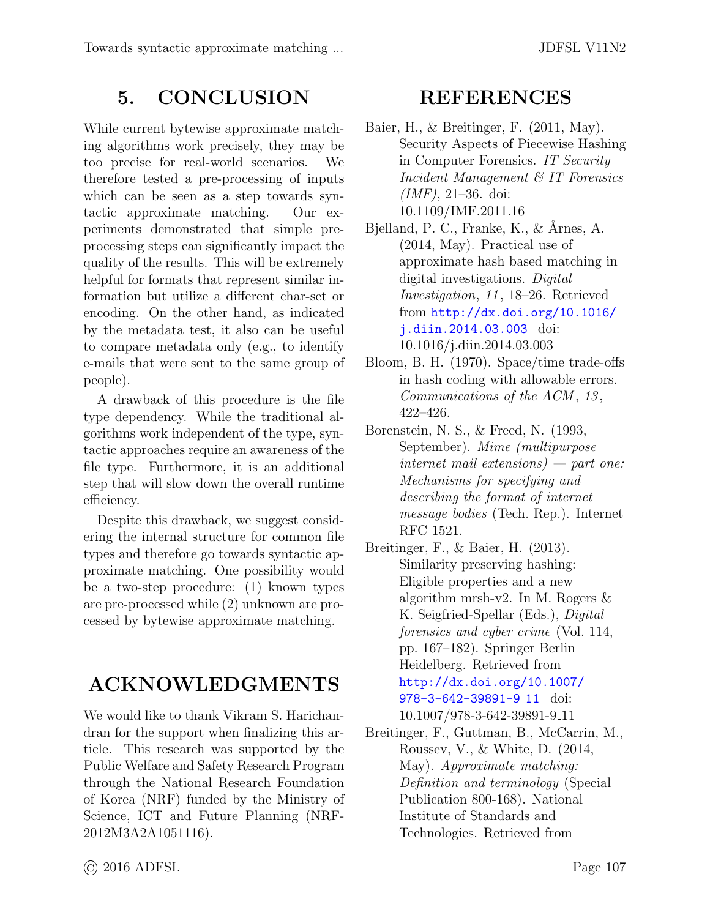## 5. CONCLUSION

While current bytewise approximate matching algorithms work precisely, they may be too precise for real-world scenarios. We therefore tested a pre-processing of inputs which can be seen as a step towards syntactic approximate matching. Our experiments demonstrated that simple preprocessing steps can significantly impact the quality of the results. This will be extremely helpful for formats that represent similar information but utilize a different char-set or encoding. On the other hand, as indicated by the metadata test, it also can be useful to compare metadata only (e.g., to identify e-mails that were sent to the same group of people).

A drawback of this procedure is the file type dependency. While the traditional algorithms work independent of the type, syntactic approaches require an awareness of the file type. Furthermore, it is an additional step that will slow down the overall runtime efficiency.

Despite this drawback, we suggest considering the internal structure for common file types and therefore go towards syntactic approximate matching. One possibility would be a two-step procedure: (1) known types are pre-processed while (2) unknown are processed by bytewise approximate matching.

## ACKNOWLEDGMENTS

We would like to thank Vikram S. Harichandran for the support when finalizing this article. This research was supported by the Public Welfare and Safety Research Program through the National Research Foundation of Korea (NRF) funded by the Ministry of Science, ICT and Future Planning (NRF-2012M3A2A1051116).

### REFERENCES

- <span id="page-11-3"></span>Baier, H., & Breitinger, F. (2011, May). Security Aspects of Piecewise Hashing in Computer Forensics. IT Security Incident Management & IT Forensics  $(MF)$ , 21–36. doi: 10.1109/IMF.2011.16
- <span id="page-11-4"></span>Bjelland, P. C., Franke, K., & Årnes, A. (2014, May). Practical use of approximate hash based matching in digital investigations. Digital Investigation, 11 , 18–26. Retrieved from [http://dx.doi.org/10.1016/](http://dx.doi.org/10.1016/j.diin.2014.03.003) [j.diin.2014.03.003](http://dx.doi.org/10.1016/j.diin.2014.03.003) doi: 10.1016/j.diin.2014.03.003
- <span id="page-11-1"></span>Bloom, B. H. (1970). Space/time trade-offs in hash coding with allowable errors. Communications of the ACM, 13, 422–426.
- <span id="page-11-5"></span>Borenstein, N. S., & Freed, N. (1993, September). Mime (multipurpose internet mail extensions) — part one: Mechanisms for specifying and describing the format of internet message bodies (Tech. Rep.). Internet RFC 1521.
- <span id="page-11-2"></span>Breitinger, F., & Baier, H. (2013). Similarity preserving hashing: Eligible properties and a new algorithm mrsh-v2. In M. Rogers & K. Seigfried-Spellar (Eds.), Digital forensics and cyber crime (Vol. 114, pp. 167–182). Springer Berlin Heidelberg. Retrieved from [http://dx.doi.org/10.1007/](http://dx.doi.org/10.1007/978-3-642-39891-9_11) [978-3-642-39891-9](http://dx.doi.org/10.1007/978-3-642-39891-9_11)<sub>-</sub>11 doi: 10.1007/978-3-642-39891-9 11
- <span id="page-11-0"></span>Breitinger, F., Guttman, B., McCarrin, M., Roussev, V., & White, D. (2014, May). Approximate matching: Definition and terminology (Special Publication 800-168). National Institute of Standards and Technologies. Retrieved from

© 2016 ADFSL Page 107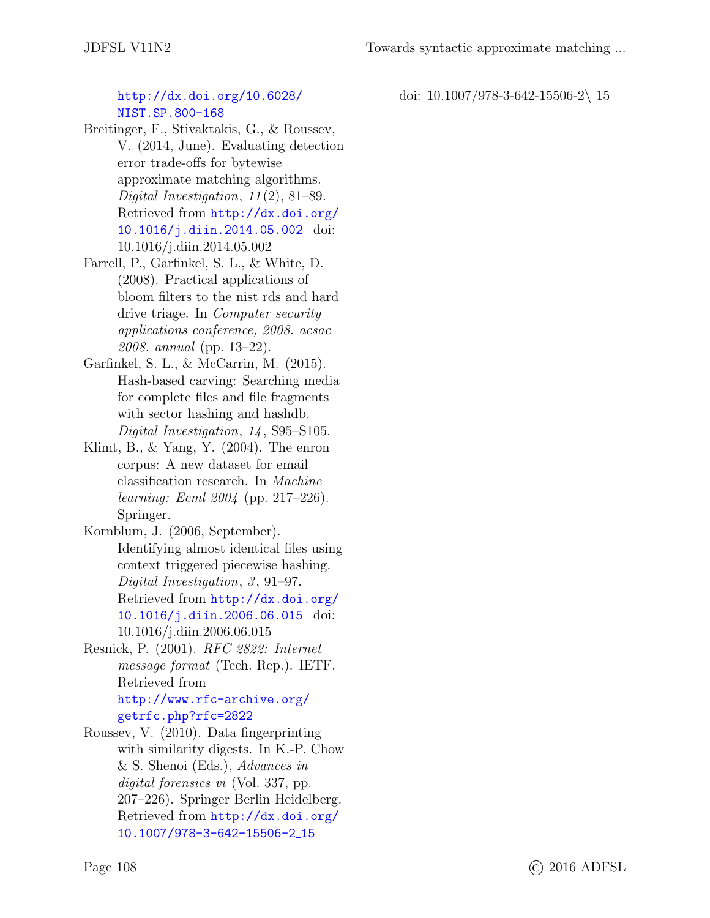#### [http://dx.doi.org/10.6028/](http://dx.doi.org/10.6028/NIST.SP.800-168) [NIST.SP.800-168](http://dx.doi.org/10.6028/NIST.SP.800-168)

- <span id="page-12-0"></span>Breitinger, F., Stivaktakis, G., & Roussev, V. (2014, June). Evaluating detection error trade-offs for bytewise approximate matching algorithms. Digital Investigation,  $11(2)$ , 81–89. Retrieved from [http://dx.doi.org/](http://dx.doi.org/10.1016/j.diin.2014.05.002) [10.1016/j.diin.2014.05.002](http://dx.doi.org/10.1016/j.diin.2014.05.002) doi: 10.1016/j.diin.2014.05.002
- <span id="page-12-4"></span>Farrell, P., Garfinkel, S. L., & White, D. (2008). Practical applications of bloom filters to the nist rds and hard drive triage. In Computer security applications conference, 2008. acsac 2008. annual (pp. 13–22).
- <span id="page-12-1"></span>Garfinkel, S. L., & McCarrin, M. (2015). Hash-based carving: Searching media for complete files and file fragments with sector hashing and hashdb. Digital Investigation, 14, S95–S105.
- <span id="page-12-6"></span>Klimt, B.,  $&$  Yang, Y.  $(2004)$ . The enron corpus: A new dataset for email classification research. In Machine learning: Ecml 2004 (pp. 217–226). Springer.
- <span id="page-12-2"></span>Kornblum, J. (2006, September). Identifying almost identical files using context triggered piecewise hashing. Digital Investigation,  $3, 91-97$ . Retrieved from [http://dx.doi.org/](http://dx.doi.org/10.1016/j.diin.2006.06.015) [10.1016/j.diin.2006.06.015](http://dx.doi.org/10.1016/j.diin.2006.06.015) doi: 10.1016/j.diin.2006.06.015
- <span id="page-12-5"></span>Resnick, P. (2001). RFC 2822: Internet message format (Tech. Rep.). IETF. Retrieved from [http://www.rfc-archive.org/](http://www.rfc-archive.org/getrfc.php?rfc=2822) [getrfc.php?rfc=2822](http://www.rfc-archive.org/getrfc.php?rfc=2822)
- <span id="page-12-3"></span>Roussev, V. (2010). Data fingerprinting with similarity digests. In K.-P. Chow & S. Shenoi (Eds.), Advances in digital forensics vi (Vol. 337, pp. 207–226). Springer Berlin Heidelberg. Retrieved from [http://dx.doi.org/](http://dx.doi.org/10.1007/978-3-642-15506-2_15) [10.1007/978-3-642-15506-2](http://dx.doi.org/10.1007/978-3-642-15506-2_15) 15

doi: 10.1007/978-3-642-15506-2\ 15